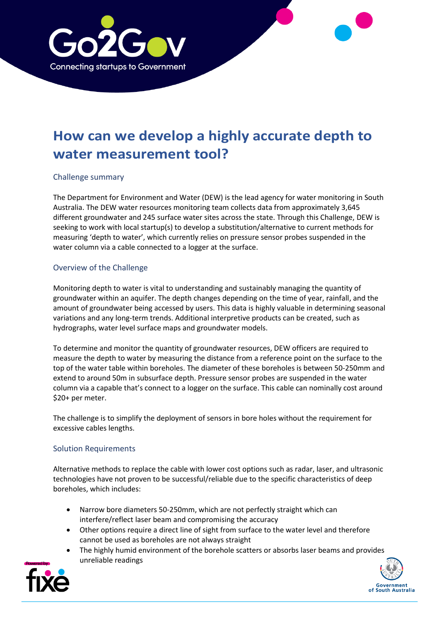

# **How can we develop a highly accurate depth to water measurement tool?**

### Challenge summary

The Department for Environment and Water (DEW) is the lead agency for water monitoring in South Australia. The DEW water resources monitoring team collects data from approximately 3,645 different groundwater and 245 surface water sites across the state. Through this Challenge, DEW is seeking to work with local startup(s) to develop a substitution/alternative to current methods for measuring 'depth to water', which currently relies on pressure sensor probes suspended in the water column via a cable connected to a logger at the surface.

# Overview of the Challenge

Monitoring depth to water is vital to understanding and sustainably managing the quantity of groundwater within an aquifer. The depth changes depending on the time of year, rainfall, and the amount of groundwater being accessed by users. This data is highly valuable in determining seasonal variations and any long-term trends. Additional interpretive products can be created, such as hydrographs, water level surface maps and groundwater models.

To determine and monitor the quantity of groundwater resources, DEW officers are required to measure the depth to water by measuring the distance from a reference point on the surface to the top of the water table within boreholes. The diameter of these boreholes is between 50-250mm and extend to around 50m in subsurface depth. Pressure sensor probes are suspended in the water column via a capable that's connect to a logger on the surface. This cable can nominally cost around \$20+ per meter.

The challenge is to simplify the deployment of sensors in bore holes without the requirement for excessive cables lengths.

### Solution Requirements

Alternative methods to replace the cable with lower cost options such as radar, laser, and ultrasonic technologies have not proven to be successful/reliable due to the specific characteristics of deep boreholes, which includes:

- Narrow bore diameters 50-250mm, which are not perfectly straight which can interfere/reflect laser beam and compromising the accuracy
- Other options require a direct line of sight from surface to the water level and therefore cannot be used as boreholes are not always straight
- The highly humid environment of the borehole scatters or absorbs laser beams and provides unreliable readings